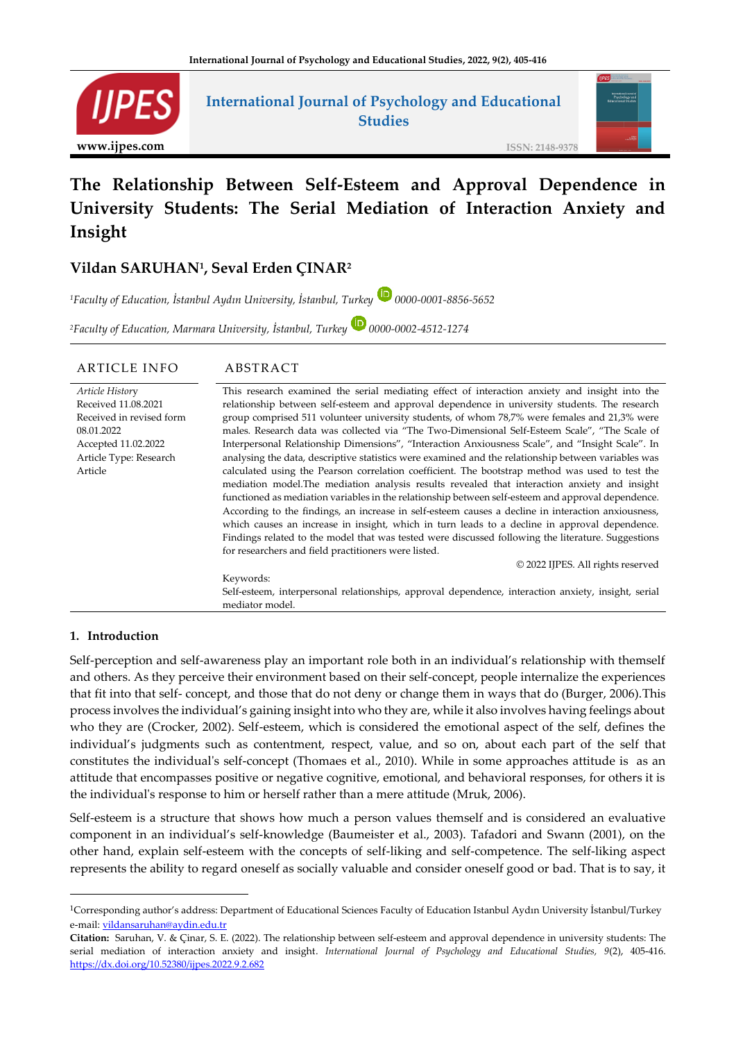

## **International Journal of Psychology and Educational Studies**



**ISSN: 2148-9378**

# **The Relationship Between Self-Esteem and Approval Dependence in University Students: The Serial Mediation of Interaction Anxiety and Insight**

## **Vildan SARUHAN<sup>1</sup> , Seval Erden ÇINAR<sup>2</sup>**

*<sup>1</sup>Faculty of Education, İstanbul Aydın University, İstanbul, Turkey 0000-0001-8856-5652*

*<sup>2</sup>Faculty of Education, Marmara University, İstanbul, Turkey 0000-0002-4512-1274*

| <b>ARTICLE INFO</b>                                                                                                                          | ABSTRACT                                                                                                                                                                                                                                                                                                                                                                                                                                                                                                                                                                                                                                                                                                                                                                                                                                                                                                                                                                                                                                                                                                                     |
|----------------------------------------------------------------------------------------------------------------------------------------------|------------------------------------------------------------------------------------------------------------------------------------------------------------------------------------------------------------------------------------------------------------------------------------------------------------------------------------------------------------------------------------------------------------------------------------------------------------------------------------------------------------------------------------------------------------------------------------------------------------------------------------------------------------------------------------------------------------------------------------------------------------------------------------------------------------------------------------------------------------------------------------------------------------------------------------------------------------------------------------------------------------------------------------------------------------------------------------------------------------------------------|
| Article History<br>Received 11.08.2021<br>Received in revised form<br>08.01.2022<br>Accepted 11.02.2022<br>Article Type: Research<br>Article | This research examined the serial mediating effect of interaction anxiety and insight into the<br>relationship between self-esteem and approval dependence in university students. The research<br>group comprised 511 volunteer university students, of whom 78,7% were females and 21,3% were<br>males. Research data was collected via "The Two-Dimensional Self-Esteem Scale", "The Scale of<br>Interpersonal Relationship Dimensions", "Interaction Anxiousness Scale", and "Insight Scale". In<br>analysing the data, descriptive statistics were examined and the relationship between variables was<br>calculated using the Pearson correlation coefficient. The bootstrap method was used to test the<br>mediation model. The mediation analysis results revealed that interaction anxiety and insight<br>functioned as mediation variables in the relationship between self-esteem and approval dependence.<br>According to the findings, an increase in self-esteem causes a decline in interaction anxiousness,<br>which causes an increase in insight, which in turn leads to a decline in approval dependence. |
|                                                                                                                                              | Findings related to the model that was tested were discussed following the literature. Suggestions<br>for researchers and field practitioners were listed.                                                                                                                                                                                                                                                                                                                                                                                                                                                                                                                                                                                                                                                                                                                                                                                                                                                                                                                                                                   |
|                                                                                                                                              | © 2022 IJPES. All rights reserved                                                                                                                                                                                                                                                                                                                                                                                                                                                                                                                                                                                                                                                                                                                                                                                                                                                                                                                                                                                                                                                                                            |
|                                                                                                                                              | Keywords:                                                                                                                                                                                                                                                                                                                                                                                                                                                                                                                                                                                                                                                                                                                                                                                                                                                                                                                                                                                                                                                                                                                    |
|                                                                                                                                              | Self-esteem, interpersonal relationships, approval dependence, interaction anxiety, insight, serial<br>mediator model                                                                                                                                                                                                                                                                                                                                                                                                                                                                                                                                                                                                                                                                                                                                                                                                                                                                                                                                                                                                        |

#### **1. Introduction**

Self-perception and self-awareness play an important role both in an individual's relationship with themself and others. As they perceive their environment based on their self-concept, people internalize the experiences that fit into that self- concept, and those that do not deny or change them in ways that do (Burger, 2006).This process involves the individual's gaining insight into who they are, while it also involves having feelings about who they are (Crocker, 2002). Self-esteem, which is considered the emotional aspect of the self, defines the individual's judgments such as contentment, respect, value, and so on, about each part of the self that constitutes the individual's self-concept (Thomaes et al., 2010). While in some approaches attitude is as an attitude that encompasses positive or negative cognitive, emotional, and behavioral responses, for others it is the individual's response to him or herself rather than a mere attitude (Mruk, 2006).

Self-esteem is a structure that shows how much a person values themself and is considered an evaluative component in an individual's self-knowledge (Baumeister et al., 2003). Tafadori and Swann (2001), on the other hand, explain self-esteem with the concepts of self-liking and self-competence. The self-liking aspect represents the ability to regard oneself as socially valuable and consider oneself good or bad. That is to say, it

<sup>1</sup>Corresponding author's address: Department of Educational Sciences Faculty of Education Istanbul Aydın University İstanbul/Turkey e-mail: [vildansaruhan@aydin.edu.tr](mailto:vildansaruhan@aydin.edu.tr)

**Citation:** Saruhan, V. & Çinar, S. E. (2022). The relationship between self-esteem and approval dependence in university students: The serial mediation of interaction anxiety and insight. *International Journal of Psychology and Educational Studies, 9*(2), 405-416. <https://dx.doi.org/10.52380/ijpes.2022.9.2.682>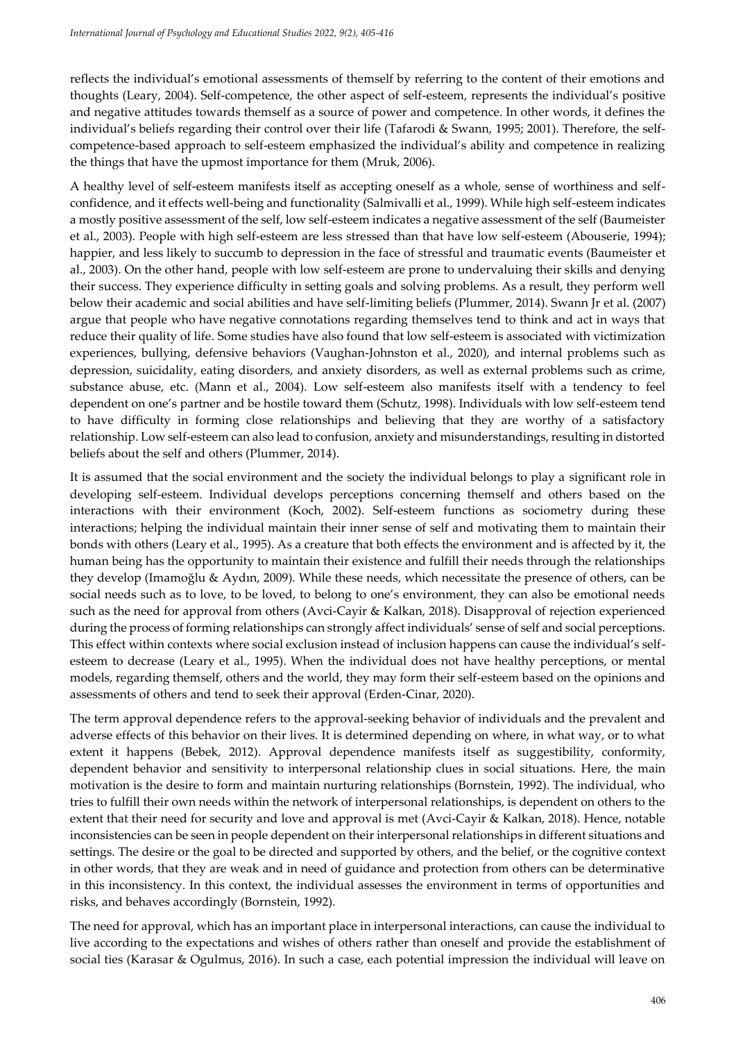reflects the individual's emotional assessments of themself by referring to the content of their emotions and thoughts (Leary, 2004). Self-competence, the other aspect of self-esteem, represents the individual's positive and negative attitudes towards themself as a source of power and competence. In other words, it defines the individual's beliefs regarding their control over their life (Tafarodi & Swann, 1995; 2001). Therefore, the selfcompetence-based approach to self-esteem emphasized the individual's ability and competence in realizing the things that have the upmost importance for them (Mruk, 2006).

A healthy level of self-esteem manifests itself as accepting oneself as a whole, sense of worthiness and selfconfidence, and it effects well-being and functionality (Salmivalli et al., 1999). While high self-esteem indicates a mostly positive assessment of the self, low self-esteem indicates a negative assessment of the self (Baumeister et al., 2003). People with high self-esteem are less stressed than that have low self-esteem (Abouserie, 1994); happier, and less likely to succumb to depression in the face of stressful and traumatic events (Baumeister et al., 2003). On the other hand, people with low self-esteem are prone to undervaluing their skills and denying their success. They experience difficulty in setting goals and solving problems. As a result, they perform well below their academic and social abilities and have self-limiting beliefs (Plummer, 2014). Swann Jr et al. (2007) argue that people who have negative connotations regarding themselves tend to think and act in ways that reduce their quality of life. Some studies have also found that low self-esteem is associated with victimization experiences, bullying, defensive behaviors (Vaughan-Johnston et al., 2020), and internal problems such as depression, suicidality, eating disorders, and anxiety disorders, as well as external problems such as crime, substance abuse, etc. (Mann et al., 2004). Low self-esteem also manifests itself with a tendency to feel dependent on one's partner and be hostile toward them (Schutz, 1998). Individuals with low self-esteem tend to have difficulty in forming close relationships and believing that they are worthy of a satisfactory relationship. Low self-esteem can also lead to confusion, anxiety and misunderstandings, resulting in distorted beliefs about the self and others (Plummer, 2014).

It is assumed that the social environment and the society the individual belongs to play a significant role in developing self-esteem. Individual develops perceptions concerning themself and others based on the interactions with their environment (Koch, 2002). Self-esteem functions as sociometry during these interactions; helping the individual maintain their inner sense of self and motivating them to maintain their bonds with others (Leary et al., 1995). As a creature that both effects the environment and is affected by it, the human being has the opportunity to maintain their existence and fulfill their needs through the relationships they develop (Imamoğlu & Aydın, 2009). While these needs, which necessitate the presence of others, can be social needs such as to love, to be loved, to belong to one's environment, they can also be emotional needs such as the need for approval from others (Avci-Cayir & Kalkan, 2018). Disapproval of rejection experienced during the process of forming relationships can strongly affect individuals' sense of self and social perceptions. This effect within contexts where social exclusion instead of inclusion happens can cause the individual's selfesteem to decrease (Leary et al., 1995). When the individual does not have healthy perceptions, or mental models, regarding themself, others and the world, they may form their self-esteem based on the opinions and assessments of others and tend to seek their approval (Erden-Cinar, 2020).

The term approval dependence refers to the approval-seeking behavior of individuals and the prevalent and adverse effects of this behavior on their lives. It is determined depending on where, in what way, or to what extent it happens (Bebek, 2012). Approval dependence manifests itself as suggestibility, conformity, dependent behavior and sensitivity to interpersonal relationship clues in social situations. Here, the main motivation is the desire to form and maintain nurturing relationships (Bornstein, 1992). The individual, who tries to fulfill their own needs within the network of interpersonal relationships, is dependent on others to the extent that their need for security and love and approval is met (Avci-Cayir & Kalkan, 2018). Hence, notable inconsistencies can be seen in people dependent on their interpersonal relationships in different situations and settings. The desire or the goal to be directed and supported by others, and the belief, or the cognitive context in other words, that they are weak and in need of guidance and protection from others can be determinative in this inconsistency. In this context, the individual assesses the environment in terms of opportunities and risks, and behaves accordingly (Bornstein, 1992).

The need for approval, which has an important place in interpersonal interactions, can cause the individual to live according to the expectations and wishes of others rather than oneself and provide the establishment of social ties (Karasar & Ogulmus, 2016). In such a case, each potential impression the individual will leave on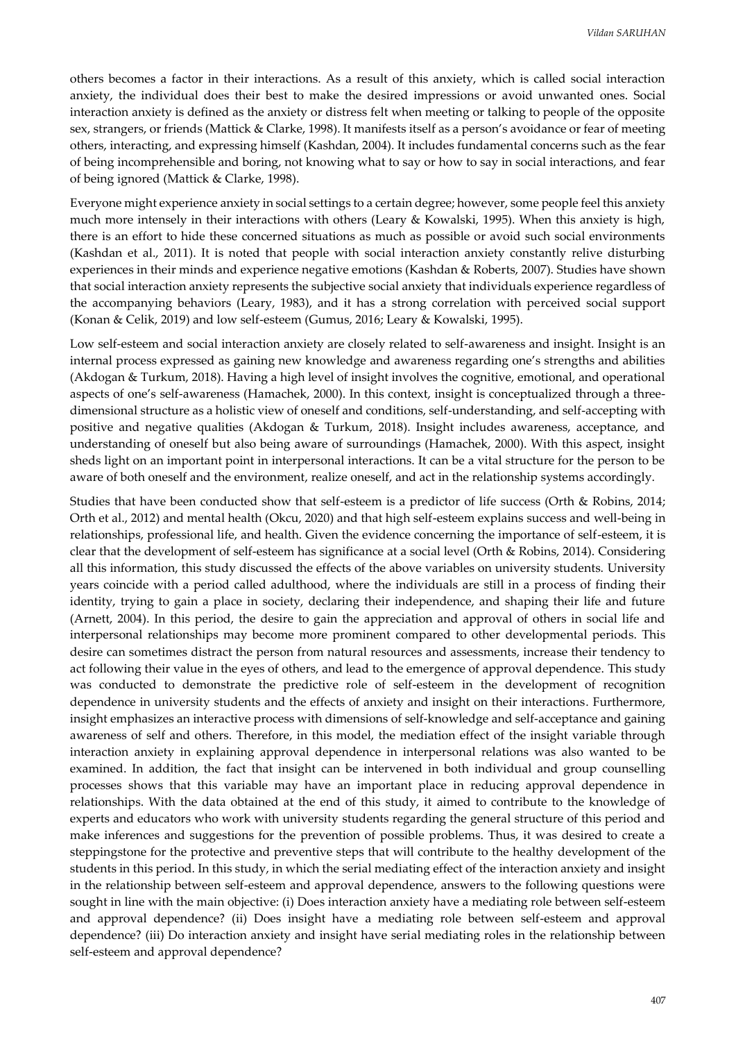others becomes a factor in their interactions. As a result of this anxiety, which is called social interaction anxiety, the individual does their best to make the desired impressions or avoid unwanted ones. Social interaction anxiety is defined as the anxiety or distress felt when meeting or talking to people of the opposite sex, strangers, or friends (Mattick & Clarke, 1998). It manifests itself as a person's avoidance or fear of meeting others, interacting, and expressing himself (Kashdan, 2004). It includes fundamental concerns such as the fear of being incomprehensible and boring, not knowing what to say or how to say in social interactions, and fear of being ignored (Mattick & Clarke, 1998).

Everyone might experience anxiety in social settings to a certain degree; however, some people feel this anxiety much more intensely in their interactions with others (Leary & Kowalski, 1995). When this anxiety is high, there is an effort to hide these concerned situations as much as possible or avoid such social environments (Kashdan et al., 2011). It is noted that people with social interaction anxiety constantly relive disturbing experiences in their minds and experience negative emotions (Kashdan & Roberts, 2007). Studies have shown that social interaction anxiety represents the subjective social anxiety that individuals experience regardless of the accompanying behaviors (Leary, 1983), and it has a strong correlation with perceived social support (Konan & Celik, 2019) and low self-esteem (Gumus, 2016; Leary & Kowalski, 1995).

Low self-esteem and social interaction anxiety are closely related to self-awareness and insight. Insight is an internal process expressed as gaining new knowledge and awareness regarding one's strengths and abilities (Akdogan & Turkum, 2018). Having a high level of insight involves the cognitive, emotional, and operational aspects of one's self-awareness (Hamachek, 2000). In this context, insight is conceptualized through a threedimensional structure as a holistic view of oneself and conditions, self-understanding, and self-accepting with positive and negative qualities (Akdogan & Turkum, 2018). Insight includes awareness, acceptance, and understanding of oneself but also being aware of surroundings (Hamachek, 2000). With this aspect, insight sheds light on an important point in interpersonal interactions. It can be a vital structure for the person to be aware of both oneself and the environment, realize oneself, and act in the relationship systems accordingly.

Studies that have been conducted show that self-esteem is a predictor of life success (Orth & Robins, 2014; Orth et al., 2012) and mental health (Okcu, 2020) and that high self-esteem explains success and well-being in relationships, professional life, and health. Given the evidence concerning the importance of self-esteem, it is clear that the development of self-esteem has significance at a social level (Orth & Robins, 2014). Considering all this information, this study discussed the effects of the above variables on university students. University years coincide with a period called adulthood, where the individuals are still in a process of finding their identity, trying to gain a place in society, declaring their independence, and shaping their life and future (Arnett, 2004). In this period, the desire to gain the appreciation and approval of others in social life and interpersonal relationships may become more prominent compared to other developmental periods. This desire can sometimes distract the person from natural resources and assessments, increase their tendency to act following their value in the eyes of others, and lead to the emergence of approval dependence. This study was conducted to demonstrate the predictive role of self-esteem in the development of recognition dependence in university students and the effects of anxiety and insight on their interactions. Furthermore, insight emphasizes an interactive process with dimensions of self-knowledge and self-acceptance and gaining awareness of self and others. Therefore, in this model, the mediation effect of the insight variable through interaction anxiety in explaining approval dependence in interpersonal relations was also wanted to be examined. In addition, the fact that insight can be intervened in both individual and group counselling processes shows that this variable may have an important place in reducing approval dependence in relationships. With the data obtained at the end of this study, it aimed to contribute to the knowledge of experts and educators who work with university students regarding the general structure of this period and make inferences and suggestions for the prevention of possible problems. Thus, it was desired to create a steppingstone for the protective and preventive steps that will contribute to the healthy development of the students in this period. In this study, in which the serial mediating effect of the interaction anxiety and insight in the relationship between self-esteem and approval dependence, answers to the following questions were sought in line with the main objective: (i) Does interaction anxiety have a mediating role between self-esteem and approval dependence? (ii) Does insight have a mediating role between self-esteem and approval dependence? (iii) Do interaction anxiety and insight have serial mediating roles in the relationship between self-esteem and approval dependence?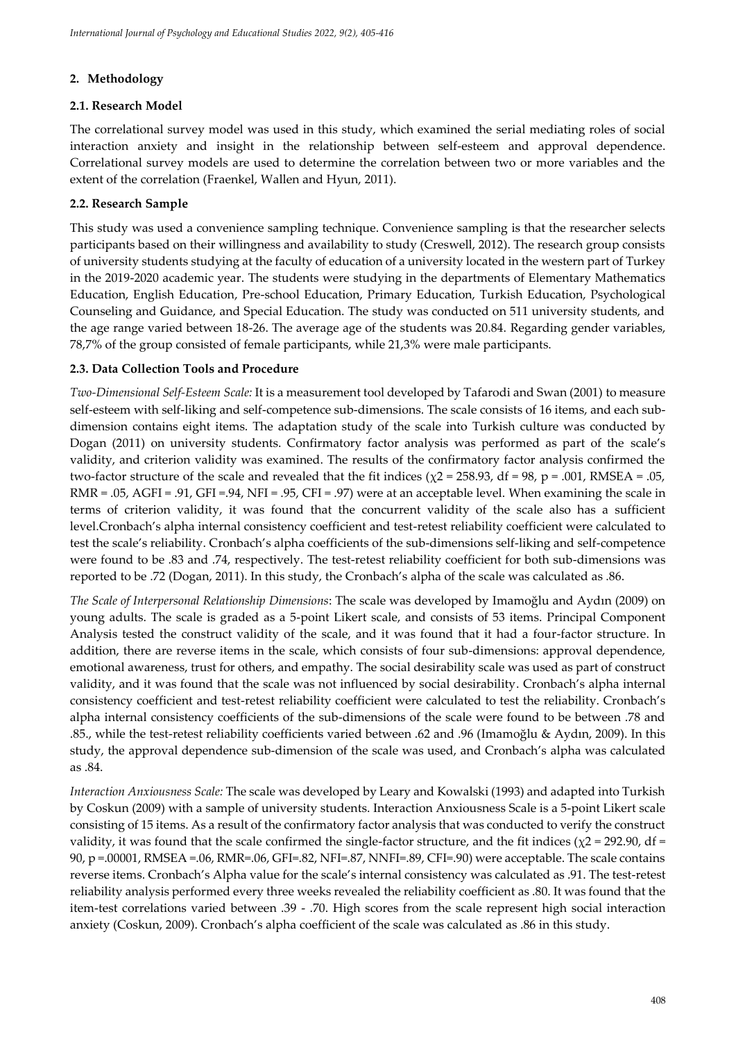## **2. Methodology**

### **2.1. Research Model**

The correlational survey model was used in this study, which examined the serial mediating roles of social interaction anxiety and insight in the relationship between self-esteem and approval dependence. Correlational survey models are used to determine the correlation between two or more variables and the extent of the correlation (Fraenkel, Wallen and Hyun, 2011).

## **2.2. Research Sample**

This study was used a convenience sampling technique. Convenience sampling is that the researcher selects participants based on their willingness and availability to study (Creswell, 2012). The research group consists of university students studying at the faculty of education of a university located in the western part of Turkey in the 2019-2020 academic year. The students were studying in the departments of Elementary Mathematics Education, English Education, Pre-school Education, Primary Education, Turkish Education, Psychological Counseling and Guidance, and Special Education. The study was conducted on 511 university students, and the age range varied between 18-26. The average age of the students was 20.84. Regarding gender variables, 78,7% of the group consisted of female participants, while 21,3% were male participants.

## **2.3. Data Collection Tools and Procedure**

*Two-Dimensional Self-Esteem Scale:* It is a measurement tool developed by Tafarodi and Swan (2001) to measure self-esteem with self-liking and self-competence sub-dimensions. The scale consists of 16 items, and each subdimension contains eight items. The adaptation study of the scale into Turkish culture was conducted by Dogan (2011) on university students. Confirmatory factor analysis was performed as part of the scale's validity, and criterion validity was examined. The results of the confirmatory factor analysis confirmed the two-factor structure of the scale and revealed that the fit indices (χ2 = 258.93, df = 98, p = .001, RMSEA = .05, RMR = .05, AGFI = .91, GFI =.94, NFI = .95, CFI = .97) were at an acceptable level. When examining the scale in terms of criterion validity, it was found that the concurrent validity of the scale also has a sufficient level.Cronbach's alpha internal consistency coefficient and test-retest reliability coefficient were calculated to test the scale's reliability. Cronbach's alpha coefficients of the sub-dimensions self-liking and self-competence were found to be .83 and .74, respectively. The test-retest reliability coefficient for both sub-dimensions was reported to be .72 (Dogan, 2011). In this study, the Cronbach's alpha of the scale was calculated as .86.

*The Scale of Interpersonal Relationship Dimensions*: The scale was developed by Imamoğlu and Aydın (2009) on young adults. The scale is graded as a 5-point Likert scale, and consists of 53 items. Principal Component Analysis tested the construct validity of the scale, and it was found that it had a four-factor structure. In addition, there are reverse items in the scale, which consists of four sub-dimensions: approval dependence, emotional awareness, trust for others, and empathy. The social desirability scale was used as part of construct validity, and it was found that the scale was not influenced by social desirability. Cronbach's alpha internal consistency coefficient and test-retest reliability coefficient were calculated to test the reliability. Cronbach's alpha internal consistency coefficients of the sub-dimensions of the scale were found to be between .78 and .85., while the test-retest reliability coefficients varied between .62 and .96 (Imamoğlu & Aydın, 2009). In this study, the approval dependence sub-dimension of the scale was used, and Cronbach's alpha was calculated as  $84$ 

*Interaction Anxiousness Scale:* The scale was developed by Leary and Kowalski (1993) and adapted into Turkish by Coskun (2009) with a sample of university students. Interaction Anxiousness Scale is a 5-point Likert scale consisting of 15 items. As a result of the confirmatory factor analysis that was conducted to verify the construct validity, it was found that the scale confirmed the single-factor structure, and the fit indices ( $\chi$ 2 = 292.90, df = 90, p =.00001, RMSEA =.06, RMR=.06, GFI=.82, NFI=.87, NNFI=.89, CFI=.90) were acceptable. The scale contains reverse items. Cronbach's Alpha value for the scale's internal consistency was calculated as .91. The test-retest reliability analysis performed every three weeks revealed the reliability coefficient as .80. It was found that the item-test correlations varied between .39 - .70. High scores from the scale represent high social interaction anxiety (Coskun, 2009). Cronbach's alpha coefficient of the scale was calculated as .86 in this study.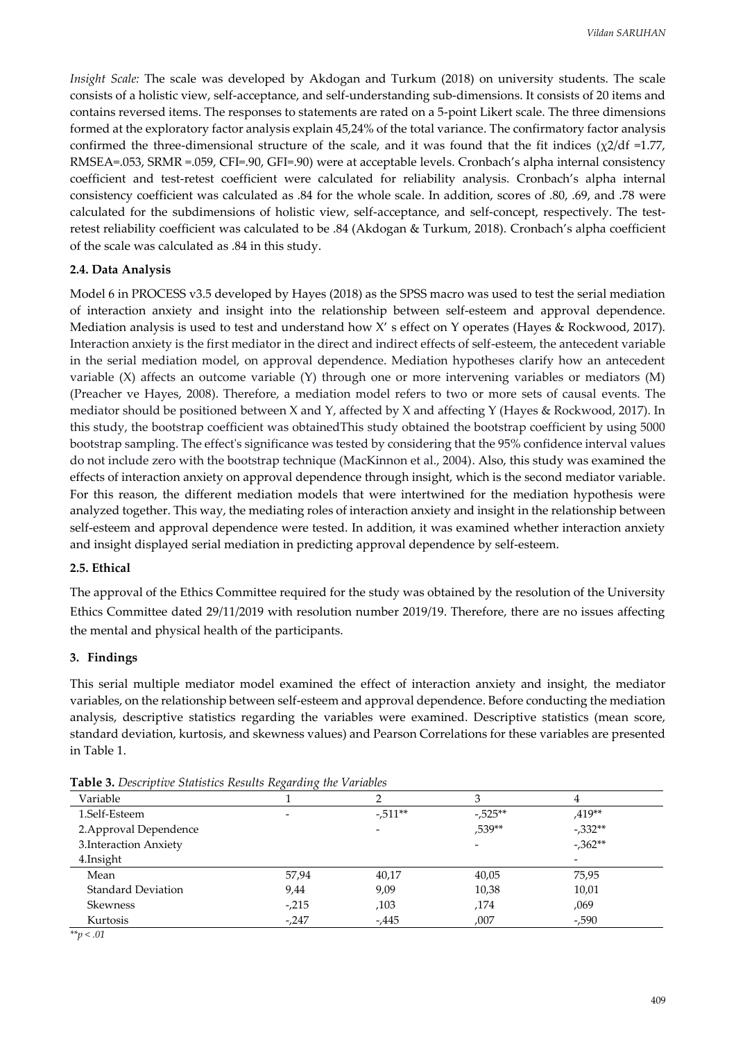*Insight Scale:* The scale was developed by Akdogan and Turkum (2018) on university students. The scale consists of a holistic view, self-acceptance, and self-understanding sub-dimensions. It consists of 20 items and contains reversed items. The responses to statements are rated on a 5-point Likert scale. The three dimensions formed at the exploratory factor analysis explain 45,24% of the total variance. The confirmatory factor analysis confirmed the three-dimensional structure of the scale, and it was found that the fit indices  $(\chi^2/df = 1.77)$ , RMSEA=.053, SRMR =.059, CFI=.90, GFI=.90) were at acceptable levels. Cronbach's alpha internal consistency coefficient and test-retest coefficient were calculated for reliability analysis. Cronbach's alpha internal consistency coefficient was calculated as .84 for the whole scale. In addition, scores of .80, .69, and .78 were calculated for the subdimensions of holistic view, self-acceptance, and self-concept, respectively. The testretest reliability coefficient was calculated to be .84 (Akdogan & Turkum, 2018). Cronbach's alpha coefficient of the scale was calculated as .84 in this study.

#### **2.4. Data Analysis**

Model 6 in PROCESS v3.5 developed by Hayes (2018) as the SPSS macro was used to test the serial mediation of interaction anxiety and insight into the relationship between self-esteem and approval dependence. Mediation analysis is used to test and understand how X' s effect on Y operates (Hayes & Rockwood, 2017). Interaction anxiety is the first mediator in the direct and indirect effects of self-esteem, the antecedent variable in the serial mediation model, on approval dependence. Mediation hypotheses clarify how an antecedent variable (X) affects an outcome variable (Y) through one or more intervening variables or mediators (M) (Preacher ve Hayes, 2008). Therefore, a mediation model refers to two or more sets of causal events. The mediator should be positioned between X and Y, affected by X and affecting Y (Hayes & Rockwood, 2017). In this study, the bootstrap coefficient was obtainedThis study obtained the bootstrap coefficient by using 5000 bootstrap sampling. The effect's significance was tested by considering that the 95% confidence interval values do not include zero with the bootstrap technique (MacKinnon et al., 2004). Also, this study was examined the effects of interaction anxiety on approval dependence through insight, which is the second mediator variable. For this reason, the different mediation models that were intertwined for the mediation hypothesis were analyzed together. This way, the mediating roles of interaction anxiety and insight in the relationship between self-esteem and approval dependence were tested. In addition, it was examined whether interaction anxiety and insight displayed serial mediation in predicting approval dependence by self-esteem.

#### **2.5. Ethical**

The approval of the Ethics Committee required for the study was obtained by the resolution of the University Ethics Committee dated 29/11/2019 with resolution number 2019/19. Therefore, there are no issues affecting the mental and physical health of the participants.

#### **3. Findings**

This serial multiple mediator model examined the effect of interaction anxiety and insight, the mediator variables, on the relationship between self-esteem and approval dependence. Before conducting the mediation analysis, descriptive statistics regarding the variables were examined. Descriptive statistics (mean score, standard deviation, kurtosis, and skewness values) and Pearson Correlations for these variables are presented in Table 1.

| Variable                  |                          |                          | З         | 4                        |
|---------------------------|--------------------------|--------------------------|-----------|--------------------------|
| 1.Self-Esteem             | $\overline{\phantom{0}}$ | $-0.511**$               | $-.525**$ | $.419**$                 |
| 2. Approval Dependence    |                          | $\overline{\phantom{a}}$ | ,539**    | $-0.332**$               |
| 3. Interaction Anxiety    |                          |                          |           | $-0.362**$               |
| 4. Insight                |                          |                          |           | $\overline{\phantom{a}}$ |
| Mean                      | 57,94                    | 40,17                    | 40,05     | 75,95                    |
| <b>Standard Deviation</b> | 9,44                     | 9,09                     | 10,38     | 10,01                    |
| <b>Skewness</b>           | $-215$                   | ,103                     | ,174      | ,069                     |
| Kurtosis                  | $-.247$                  | $-0.445$                 | ,007      | -,590                    |

**Table 3.** *Descriptive Statistics Results Regarding the Variables*

*\*\*p < .01*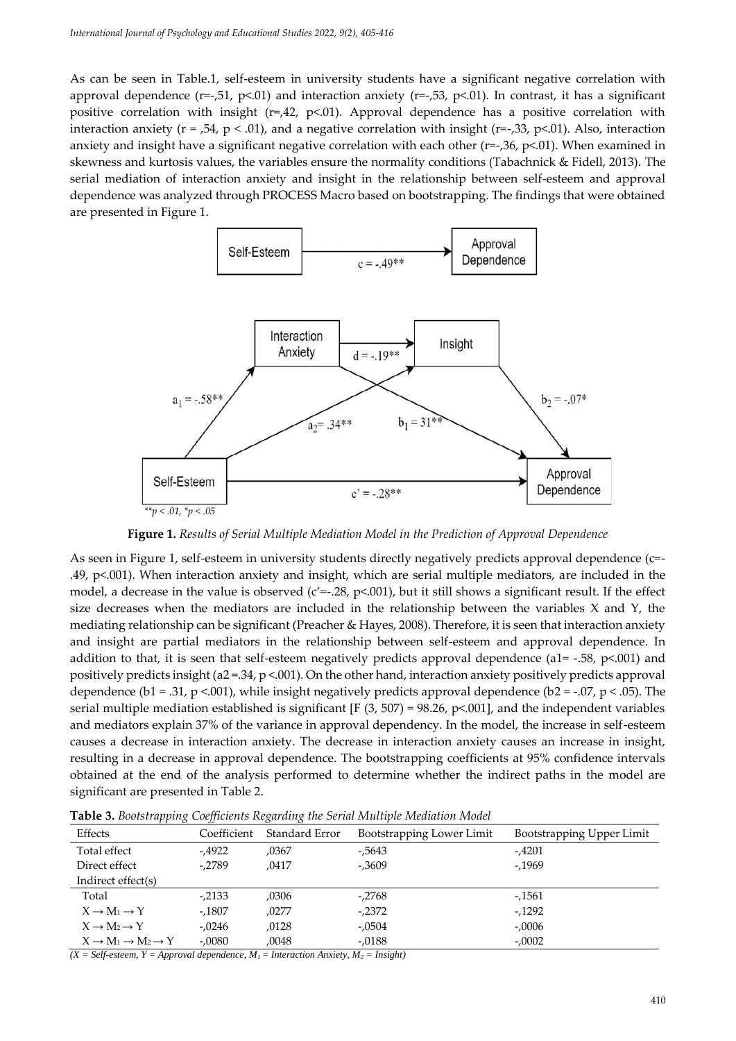As can be seen in Table.1, self-esteem in university students have a significant negative correlation with approval dependence ( $r=-$ ,51,  $p<.01$ ) and interaction anxiety ( $r=-$ ,53,  $p<.01$ ). In contrast, it has a significant positive correlation with insight (r=,42, p<.01). Approval dependence has a positive correlation with interaction anxiety ( $r = 0.54$ ,  $p < 0.01$ ), and a negative correlation with insight ( $r = 0.33$ ,  $p < 0.01$ ). Also, interaction anxiety and insight have a significant negative correlation with each other (r=-,36, p<.01). When examined in skewness and kurtosis values, the variables ensure the normality conditions (Tabachnick & Fidell, 2013). The serial mediation of interaction anxiety and insight in the relationship between self-esteem and approval dependence was analyzed through PROCESS Macro based on bootstrapping. The findings that were obtained are presented in Figure 1.



**Figure 1.** *Results of Serial Multiple Mediation Model in the Prediction of Approval Dependence* 

As seen in Figure 1, self-esteem in university students directly negatively predicts approval dependence (c=- .49, p<.001). When interaction anxiety and insight, which are serial multiple mediators, are included in the model, a decrease in the value is observed ( $c'=-.28$ ,  $p<.001$ ), but it still shows a significant result. If the effect size decreases when the mediators are included in the relationship between the variables  $X$  and  $Y$ , the mediating relationship can be significant (Preacher & Hayes, 2008). Therefore, it is seen that interaction anxiety and insight are partial mediators in the relationship between self-esteem and approval dependence. In addition to that, it is seen that self-esteem negatively predicts approval dependence (a1= -.58,  $p<0.001$ ) and positively predicts insight (a2 =  $34$ , p < 001). On the other hand, interaction anxiety positively predicts approval dependence (b1 = .31, p <.001), while insight negatively predicts approval dependence (b2 = -.07, p < .05). The serial multiple mediation established is significant [F (3, 507) = 98.26, p<.001], and the independent variables and mediators explain 37% of the variance in approval dependency. In the model, the increase in self-esteem causes a decrease in interaction anxiety. The decrease in interaction anxiety causes an increase in insight, resulting in a decrease in approval dependence. The bootstrapping coefficients at 95% confidence intervals obtained at the end of the analysis performed to determine whether the indirect paths in the model are significant are presented in Table 2.

| <b>Tuble 0.</b> Doolon apping Coopficiento Itegarang the bertar Irianipic Iricanniton Irioaci |             |                |                           |                           |  |  |  |
|-----------------------------------------------------------------------------------------------|-------------|----------------|---------------------------|---------------------------|--|--|--|
| Effects                                                                                       | Coefficient | Standard Error | Bootstrapping Lower Limit | Bootstrapping Upper Limit |  |  |  |
| Total effect                                                                                  | -,4922      | ,0367          | $-0.5643$                 | -,4201                    |  |  |  |
| Direct effect                                                                                 | -,2789      | .0417          | $-.3609$                  | $-1969$                   |  |  |  |
| Indirect effect(s)                                                                            |             |                |                           |                           |  |  |  |
| Total                                                                                         | $-2133$     | ,0306          | -,2768                    | -,1561                    |  |  |  |
| $X \rightarrow M_1 \rightarrow Y$                                                             | $-.1807$    | .0277          | $-2372$                   | $-1292$                   |  |  |  |
| $X \rightarrow M_2 \rightarrow Y$                                                             | $-.0246$    | .0128          | -,0504                    | $-.0006$                  |  |  |  |
| $X \to M_1 \to M_2 \to Y$                                                                     | $-.0080$    | ,0048          | $-.0188$                  | $-.0002$                  |  |  |  |

**Table 3.** *Bootstrapping Coefficients Regarding the Serial Multiple Mediation Model*

 $(X = Self\text{-}seteem, Y = Approach \text{} dependentce, M<sub>1</sub> = International \text{} Anticity, M<sub>2</sub> = Insideth$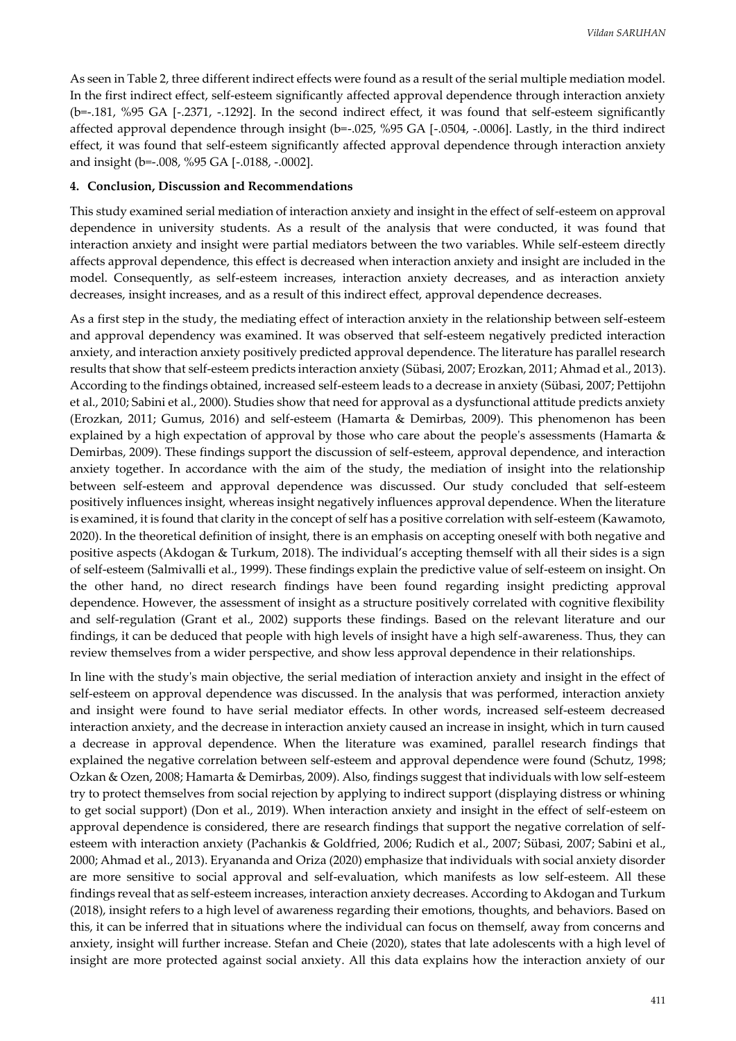As seen in Table 2, three different indirect effects were found as a result of the serial multiple mediation model. In the first indirect effect, self-esteem significantly affected approval dependence through interaction anxiety (b=-.181, %95 GA [-.2371, -.1292]. In the second indirect effect, it was found that self-esteem significantly affected approval dependence through insight (b=-.025, %95 GA [-.0504, -.0006]. Lastly, in the third indirect effect, it was found that self-esteem significantly affected approval dependence through interaction anxiety and insight (b=-.008, %95 GA [-.0188, -.0002].

#### **4. Conclusion, Discussion and Recommendations**

This study examined serial mediation of interaction anxiety and insight in the effect of self-esteem on approval dependence in university students. As a result of the analysis that were conducted, it was found that interaction anxiety and insight were partial mediators between the two variables. While self-esteem directly affects approval dependence, this effect is decreased when interaction anxiety and insight are included in the model. Consequently, as self-esteem increases, interaction anxiety decreases, and as interaction anxiety decreases, insight increases, and as a result of this indirect effect, approval dependence decreases.

As a first step in the study, the mediating effect of interaction anxiety in the relationship between self-esteem and approval dependency was examined. It was observed that self-esteem negatively predicted interaction anxiety, and interaction anxiety positively predicted approval dependence. The literature has parallel research results that show that self-esteem predicts interaction anxiety (Sübasi, 2007; Erozkan, 2011; Ahmad et al., 2013). According to the findings obtained, increased self-esteem leads to a decrease in anxiety (Sübasi, 2007; Pettijohn et al., 2010; Sabini et al., 2000). Studies show that need for approval as a dysfunctional attitude predicts anxiety (Erozkan, 2011; Gumus, 2016) and self-esteem (Hamarta & Demirbas, 2009). This phenomenon has been explained by a high expectation of approval by those who care about the people's assessments (Hamarta & Demirbas, 2009). These findings support the discussion of self-esteem, approval dependence, and interaction anxiety together. In accordance with the aim of the study, the mediation of insight into the relationship between self-esteem and approval dependence was discussed. Our study concluded that self-esteem positively influences insight, whereas insight negatively influences approval dependence. When the literature is examined, it is found that clarity in the concept of self has a positive correlation with self-esteem (Kawamoto, 2020). In the theoretical definition of insight, there is an emphasis on accepting oneself with both negative and positive aspects (Akdogan & Turkum, 2018). The individual's accepting themself with all their sides is a sign of self-esteem (Salmivalli et al., 1999). These findings explain the predictive value of self-esteem on insight. On the other hand, no direct research findings have been found regarding insight predicting approval dependence. However, the assessment of insight as a structure positively correlated with cognitive flexibility and self-regulation (Grant et al., 2002) supports these findings. Based on the relevant literature and our findings, it can be deduced that people with high levels of insight have a high self-awareness. Thus, they can review themselves from a wider perspective, and show less approval dependence in their relationships.

In line with the study's main objective, the serial mediation of interaction anxiety and insight in the effect of self-esteem on approval dependence was discussed. In the analysis that was performed, interaction anxiety and insight were found to have serial mediator effects. In other words, increased self-esteem decreased interaction anxiety, and the decrease in interaction anxiety caused an increase in insight, which in turn caused a decrease in approval dependence. When the literature was examined, parallel research findings that explained the negative correlation between self-esteem and approval dependence were found (Schutz, 1998; Ozkan & Ozen, 2008; Hamarta & Demirbas, 2009). Also, findings suggest that individuals with low self-esteem try to protect themselves from social rejection by applying to indirect support (displaying distress or whining to get social support) (Don et al., 2019). When interaction anxiety and insight in the effect of self-esteem on approval dependence is considered, there are research findings that support the negative correlation of selfesteem with interaction anxiety (Pachankis & Goldfried, 2006; Rudich et al., 2007; Sübasi, 2007; Sabini et al., 2000; Ahmad et al., 2013). Eryananda and Oriza (2020) emphasize that individuals with social anxiety disorder are more sensitive to social approval and self-evaluation, which manifests as low self-esteem. All these findings reveal that as self-esteem increases, interaction anxiety decreases. According to Akdogan and Turkum (2018), insight refers to a high level of awareness regarding their emotions, thoughts, and behaviors. Based on this, it can be inferred that in situations where the individual can focus on themself, away from concerns and anxiety, insight will further increase. Stefan and Cheie (2020), states that late adolescents with a high level of insight are more protected against social anxiety. All this data explains how the interaction anxiety of our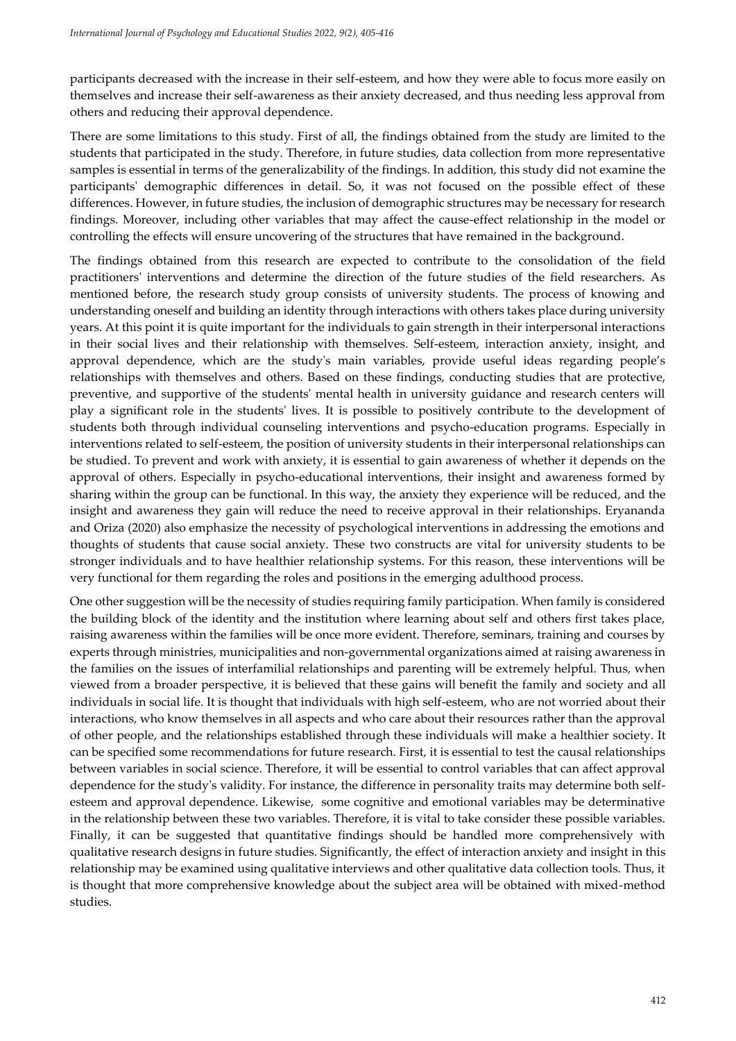participants decreased with the increase in their self-esteem, and how they were able to focus more easily on themselves and increase their self-awareness as their anxiety decreased, and thus needing less approval from others and reducing their approval dependence.

There are some limitations to this study. First of all, the findings obtained from the study are limited to the students that participated in the study. Therefore, in future studies, data collection from more representative samples is essential in terms of the generalizability of the findings. In addition, this study did not examine the participants' demographic differences in detail. So, it was not focused on the possible effect of these differences. However, in future studies, the inclusion of demographic structures may be necessary for research findings. Moreover, including other variables that may affect the cause-effect relationship in the model or controlling the effects will ensure uncovering of the structures that have remained in the background.

The findings obtained from this research are expected to contribute to the consolidation of the field practitioners' interventions and determine the direction of the future studies of the field researchers. As mentioned before, the research study group consists of university students. The process of knowing and understanding oneself and building an identity through interactions with others takes place during university years. At this point it is quite important for the individuals to gain strength in their interpersonal interactions in their social lives and their relationship with themselves. Self-esteem, interaction anxiety, insight, and approval dependence, which are the study's main variables, provide useful ideas regarding people's relationships with themselves and others. Based on these findings, conducting studies that are protective, preventive, and supportive of the students' mental health in university guidance and research centers will play a significant role in the students' lives. It is possible to positively contribute to the development of students both through individual counseling interventions and psycho-education programs. Especially in interventions related to self-esteem, the position of university students in their interpersonal relationships can be studied. To prevent and work with anxiety, it is essential to gain awareness of whether it depends on the approval of others. Especially in psycho-educational interventions, their insight and awareness formed by sharing within the group can be functional. In this way, the anxiety they experience will be reduced, and the insight and awareness they gain will reduce the need to receive approval in their relationships. Eryananda and Oriza (2020) also emphasize the necessity of psychological interventions in addressing the emotions and thoughts of students that cause social anxiety. These two constructs are vital for university students to be stronger individuals and to have healthier relationship systems. For this reason, these interventions will be very functional for them regarding the roles and positions in the emerging adulthood process.

One other suggestion will be the necessity of studies requiring family participation. When family is considered the building block of the identity and the institution where learning about self and others first takes place, raising awareness within the families will be once more evident. Therefore, seminars, training and courses by experts through ministries, municipalities and non-governmental organizations aimed at raising awareness in the families on the issues of interfamilial relationships and parenting will be extremely helpful. Thus, when viewed from a broader perspective, it is believed that these gains will benefit the family and society and all individuals in social life. It is thought that individuals with high self-esteem, who are not worried about their interactions, who know themselves in all aspects and who care about their resources rather than the approval of other people, and the relationships established through these individuals will make a healthier society. It can be specified some recommendations for future research. First, it is essential to test the causal relationships between variables in social science. Therefore, it will be essential to control variables that can affect approval dependence for the study's validity. For instance, the difference in personality traits may determine both selfesteem and approval dependence. Likewise, some cognitive and emotional variables may be determinative in the relationship between these two variables. Therefore, it is vital to take consider these possible variables. Finally, it can be suggested that quantitative findings should be handled more comprehensively with qualitative research designs in future studies. Significantly, the effect of interaction anxiety and insight in this relationship may be examined using qualitative interviews and other qualitative data collection tools. Thus, it is thought that more comprehensive knowledge about the subject area will be obtained with mixed-method studies.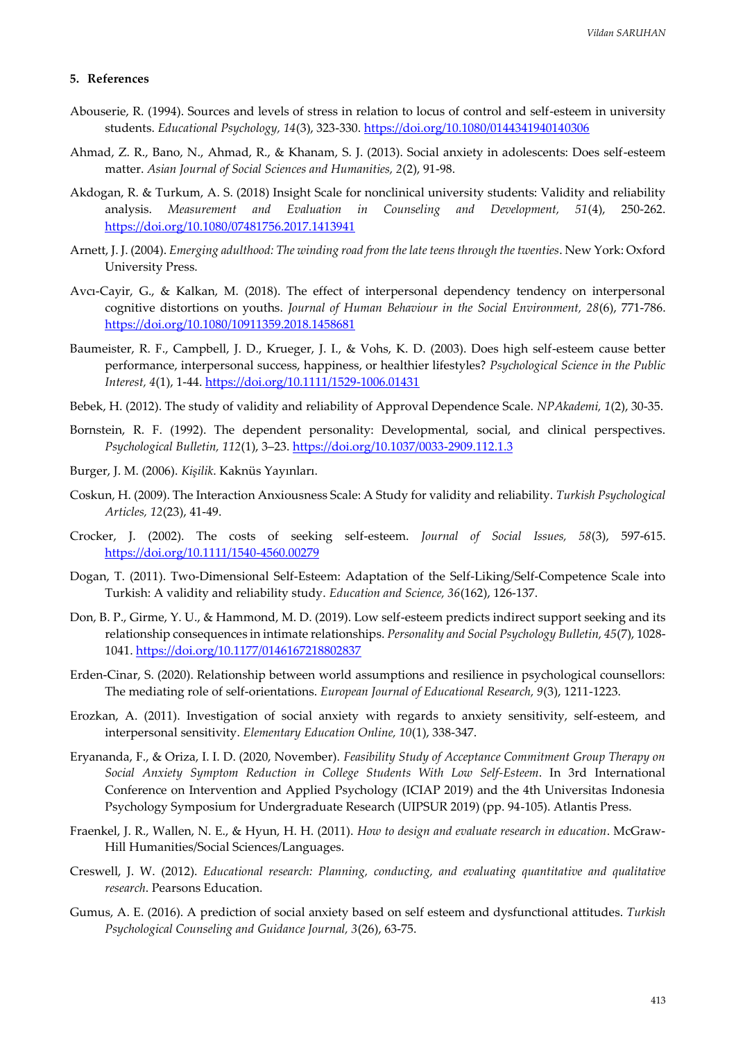#### **5. References**

- Abouserie, R. (1994). Sources and levels of stress in relation to locus of control and self-esteem in university students. *Educational Psychology, 14*(3), 323-330. <https://doi.org/10.1080/0144341940140306>
- Ahmad, Z. R., Bano, N., Ahmad, R., & Khanam, S. J. (2013). Social anxiety in adolescents: Does self-esteem matter. *Asian Journal of Social Sciences and Humanities, 2*(2), 91-98.
- Akdogan, R. & Turkum, A. S. (2018) Insight Scale for nonclinical university students: Validity and reliability analysis. *Measurement and Evaluation in Counseling and Development, 51*(4), 250-262. <https://doi.org/10.1080/07481756.2017.1413941>
- Arnett, J. J. (2004). *Emerging adulthood: The winding road from the late teens through the twenties*. New York: Oxford University Press.
- Avcı-Cayir, G., & Kalkan, M. (2018). The effect of interpersonal dependency tendency on interpersonal cognitive distortions on youths. *Journal of Human Behaviour in the Social Environment, 28*(6), 771-786. <https://doi.org/10.1080/10911359.2018.1458681>
- Baumeister, R. F., Campbell, J. D., Krueger, J. I., & Vohs, K. D. (2003). Does high self-esteem cause better performance, interpersonal success, happiness, or healthier lifestyles? *Psychological Science in the Public Interest, 4*(1), 1-44. <https://doi.org/10.1111/1529-1006.01431>
- Bebek, H. (2012). The study of validity and reliability of Approval Dependence Scale. *NPAkademi, 1*(2), 30-35.
- Bornstein, R. F. (1992). The dependent personality: Developmental, social, and clinical perspectives. *Psychological Bulletin, 112*(1), 3–23.<https://doi.org/10.1037/0033-2909.112.1.3>
- Burger, J. M. (2006). *Kişilik*. Kaknüs Yayınları.
- Coskun, H. (2009). The Interaction Anxiousness Scale: A Study for validity and reliability. *Turkish Psychological Articles, 12*(23), 41-49.
- Crocker, J. (2002). The costs of seeking self-esteem. *Journal of Social Issues, 58*(3), 597-615. <https://doi.org/10.1111/1540-4560.00279>
- Dogan, T. (2011). Two-Dimensional Self-Esteem: Adaptation of the Self-Liking/Self-Competence Scale into Turkish: A validity and reliability study. *Education and Science, 36*(162), 126-137.
- Don, B. P., Girme, Y. U., & Hammond, M. D. (2019). Low self-esteem predicts indirect support seeking and its relationship consequences in intimate relationships. *Personality and Social Psychology Bulletin, 45*(7), 1028- 1041. <https://doi.org/10.1177/0146167218802837>
- Erden-Cinar, S. (2020). Relationship between world assumptions and resilience in psychological counsellors: The mediating role of self-orientations. *European Journal of Educational Research, 9*(3), 1211-1223.
- Erozkan, A. (2011). Investigation of social anxiety with regards to anxiety sensitivity, self-esteem, and interpersonal sensitivity. *Elementary Education Online, 10*(1), 338-347.
- Eryananda, F., & Oriza, I. I. D. (2020, November). *Feasibility Study of Acceptance Commitment Group Therapy on Social Anxiety Symptom Reduction in College Students With Low Self-Esteem*. In 3rd International Conference on Intervention and Applied Psychology (ICIAP 2019) and the 4th Universitas Indonesia Psychology Symposium for Undergraduate Research (UIPSUR 2019) (pp. 94-105). Atlantis Press.
- Fraenkel, J. R., Wallen, N. E., & Hyun, H. H. (2011). *How to design and evaluate research in education*. McGraw-Hill Humanities/Social Sciences/Languages.
- Creswell, J. W. (2012). *Educational research: Planning, conducting, and evaluating quantitative and qualitative research*. Pearsons Education.
- Gumus, A. E. (2016). A prediction of social anxiety based on self esteem and dysfunctional attitudes. *Turkish Psychological Counseling and Guidance Journal, 3*(26), 63-75.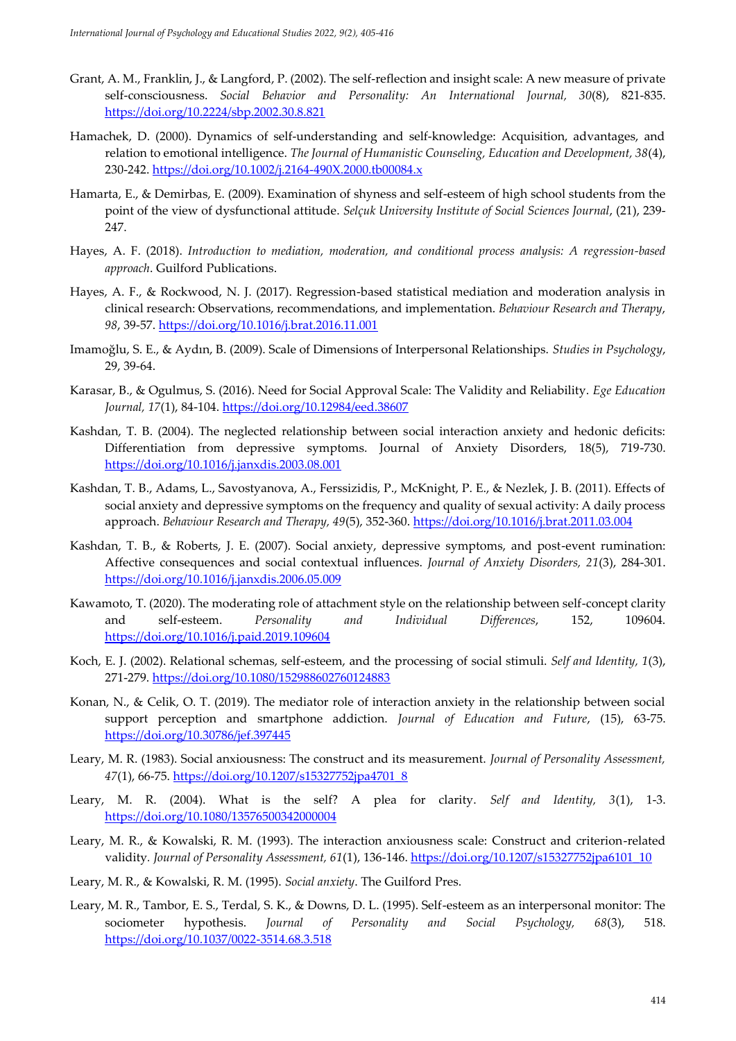- Grant, A. M., Franklin, J., & Langford, P. (2002). The self-reflection and insight scale: A new measure of private self-consciousness. *Social Behavior and Personality: An International Journal, 30*(8), 821-835. <https://doi.org/10.2224/sbp.2002.30.8.821>
- Hamachek, D. (2000). Dynamics of self‐understanding and self‐knowledge: Acquisition, advantages, and relation to emotional intelligence. *The Journal of Humanistic Counseling, Education and Development, 38*(4), 230-242. <https://doi.org/10.1002/j.2164-490X.2000.tb00084.x>
- Hamarta, E., & Demirbas, E. (2009). Examination of shyness and self-esteem of high school students from the point of the view of dysfunctional attitude. *Selçuk University Institute of Social Sciences Journal*, (21), 239- 247.
- Hayes, A. F. (2018). *Introduction to mediation, moderation, and conditional process analysis: A regression-based approach*. Guilford Publications.
- Hayes, A. F., & Rockwood, N. J. (2017). Regression-based statistical mediation and moderation analysis in clinical research: Observations, recommendations, and implementation. *Behaviour Research and Therapy*, *98*, 39-57. <https://doi.org/10.1016/j.brat.2016.11.001>
- Imamoğlu, S. E., & Aydın, B. (2009). Scale of Dimensions of Interpersonal Relationships. *Studies in Psychology*, 29, 39-64.
- Karasar, B., & Ogulmus, S. (2016). Need for Social Approval Scale: The Validity and Reliability. *Ege Education*  Journal, 17(1), 84-104. <https://doi.org/10.12984/eed.38607>
- Kashdan, T. B. (2004). The neglected relationship between social interaction anxiety and hedonic deficits: Differentiation from depressive symptoms. Journal of Anxiety Disorders, 18(5), 719-730. <https://doi.org/10.1016/j.janxdis.2003.08.001>
- Kashdan, T. B., Adams, L., Savostyanova, A., Ferssizidis, P., McKnight, P. E., & Nezlek, J. B. (2011). Effects of social anxiety and depressive symptoms on the frequency and quality of sexual activity: A daily process approach. *Behaviour Research and Therapy, 49*(5), 352-360.<https://doi.org/10.1016/j.brat.2011.03.004>
- Kashdan, T. B., & Roberts, J. E. (2007). Social anxiety, depressive symptoms, and post-event rumination: Affective consequences and social contextual influences. *Journal of Anxiety Disorders, 21*(3), 284-301. <https://doi.org/10.1016/j.janxdis.2006.05.009>
- Kawamoto, T. (2020). The moderating role of attachment style on the relationship between self-concept clarity and self-esteem. *Personality and Individual Differences*, 152, 109604. <https://doi.org/10.1016/j.paid.2019.109604>
- Koch, E. J. (2002). Relational schemas, self-esteem, and the processing of social stimuli. *Self and Identity, 1*(3), 271-279.<https://doi.org/10.1080/152988602760124883>
- Konan, N., & Celik, O. T. (2019). The mediator role of interaction anxiety in the relationship between social support perception and smartphone addiction. *Journal of Education and Future*, (15), 63-75. <https://doi.org/10.30786/jef.397445>
- Leary, M. R. (1983). Social anxiousness: The construct and its measurement. *Journal of Personality Assessment, 47*(1), 66-75. [https://doi.org/10.1207/s15327752jpa4701\\_8](https://doi.org/10.1207/s15327752jpa4701_8)
- Leary, M. R. (2004). What is the self? A plea for clarity. *Self and Identity, 3*(1), 1-3. <https://doi.org/10.1080/13576500342000004>
- Leary, M. R., & Kowalski, R. M. (1993). The interaction anxiousness scale: Construct and criterion-related validity*. Journal of Personality Assessment, 61*(1), 136-146. [https://doi.org/10.1207/s15327752jpa6101\\_10](https://doi.org/10.1207/s15327752jpa6101_10)
- Leary, M. R., & Kowalski, R. M. (1995). *Social anxiety*. The Guilford Pres.
- Leary, M. R., Tambor, E. S., Terdal, S. K., & Downs, D. L. (1995). Self-esteem as an interpersonal monitor: The sociometer hypothesis. *Journal of Personality and Social Psychology, 68*(3), 518. <https://doi.org/10.1037/0022-3514.68.3.518>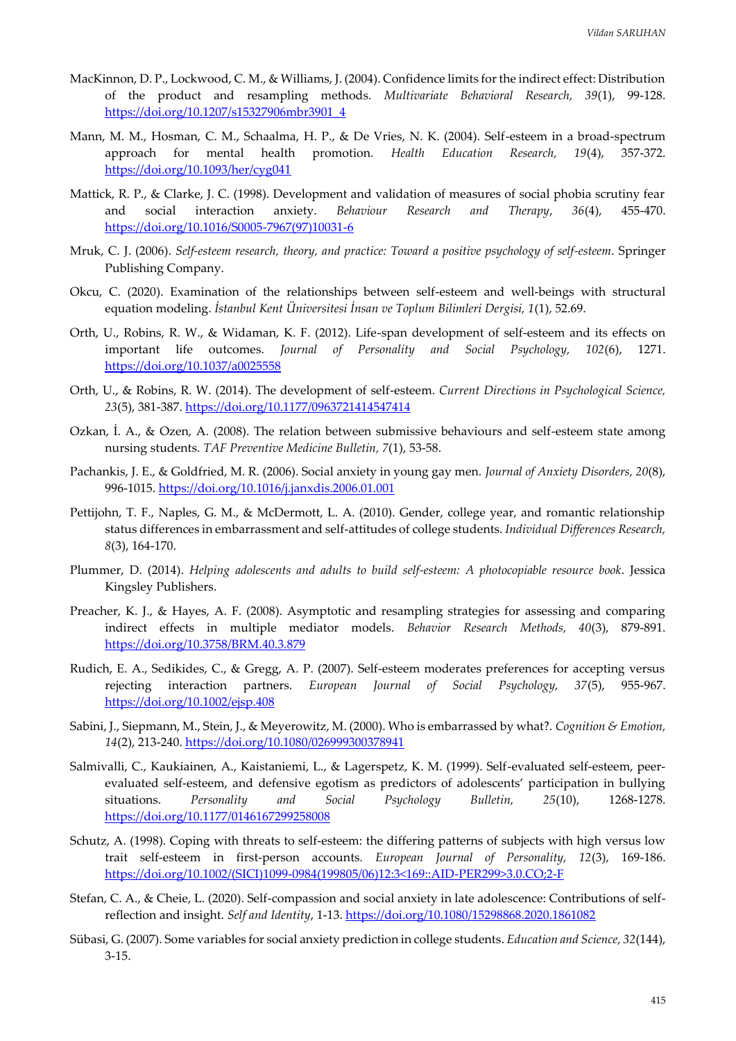- MacKinnon, D. P., Lockwood, C. M., & Williams, J. (2004). Confidence limits for the indirect effect: Distribution of the product and resampling methods. *Multivariate Behavioral Research, 39*(1), 99-128. [https://doi.org/10.1207/s15327906mbr3901\\_4](https://doi.org/10.1207/s15327906mbr3901_4)
- Mann, M. M., Hosman, C. M., Schaalma, H. P., & De Vries, N. K. (2004). Self-esteem in a broad-spectrum approach for mental health promotion. *Health Education Research, 19*(4), 357-372. <https://doi.org/10.1093/her/cyg041>
- Mattick, R. P., & Clarke, J. C. (1998). Development and validation of measures of social phobia scrutiny fear and social interaction anxiety. *Behaviour Research and Therapy*, *36*(4), 455-470. [https://doi.org/10.1016/S0005-7967\(97\)10031-6](https://doi.org/10.1016/S0005-7967(97)10031-6)
- Mruk, C. J. (2006). *Self-esteem research, theory, and practice: Toward a positive psychology of self-esteem*. Springer Publishing Company.
- Okcu, C. (2020). Examination of the relationships between self-esteem and well-beings with structural equation modeling. *İstanbul Kent Üniversitesi İnsan ve Toplum Bilimleri Dergisi, 1*(1), 52.69.
- Orth, U., Robins, R. W., & Widaman, K. F. (2012). Life-span development of self-esteem and its effects on important life outcomes. *Journal of Personality and Social Psychology, 102*(6), 1271. <https://doi.org/10.1037/a0025558>
- Orth, U., & Robins, R. W. (2014). The development of self-esteem. *Current Directions in Psychological Science, 23*(5), 381-387.<https://doi.org/10.1177/0963721414547414>
- Ozkan, İ. A., & Ozen, A. (2008). The relation between submissive behaviours and self-esteem state among nursing students. *TAF Preventive Medicine Bulletin, 7*(1), 53-58.
- Pachankis, J. E., & Goldfried, M. R. (2006). Social anxiety in young gay men. *Journal of Anxiety Disorders, 20*(8), 996-1015. <https://doi.org/10.1016/j.janxdis.2006.01.001>
- Pettijohn, T. F., Naples, G. M., & McDermott, L. A. (2010). Gender, college year, and romantic relationship status differences in embarrassment and self-attitudes of college students. *Individual Differences Research, 8*(3), 164-170.
- Plummer, D. (2014). *Helping adolescents and adults to build self-esteem: A photocopiable resource book*. Jessica Kingsley Publishers.
- Preacher, K. J., & Hayes, A. F. (2008). Asymptotic and resampling strategies for assessing and comparing indirect effects in multiple mediator models. *Behavior Research Methods, 40*(3), 879-891. <https://doi.org/10.3758/BRM.40.3.879>
- Rudich, E. A., Sedikides, C., & Gregg, A. P. (2007). Self‐esteem moderates preferences for accepting versus rejecting interaction partners. *European Journal of Social Psychology, 37*(5), 955-967. <https://doi.org/10.1002/ejsp.408>
- Sabini, J., Siepmann, M., Stein, J., & Meyerowitz, M. (2000). Who is embarrassed by what?. *Cognition & Emotion, 14*(2), 213-240. <https://doi.org/10.1080/026999300378941>
- Salmivalli, C., Kaukiainen, A., Kaistaniemi, L., & Lagerspetz, K. M. (1999). Self-evaluated self-esteem, peerevaluated self-esteem, and defensive egotism as predictors of adolescents' participation in bullying situations. *Personality and Social Psychology Bulletin, 25*(10), 1268-1278. <https://doi.org/10.1177/0146167299258008>
- Schutz, A. (1998). Coping with threats to self‐esteem: the differing patterns of subjects with high versus low trait self‐esteem in first‐person accounts*. European Journal of Personality, 12*(3), 169-186. [https://doi.org/10.1002/\(SICI\)1099-0984\(199805/06\)12:3<169::AID-PER299>3.0.CO;2-F](https://doi.org/10.1002/(SICI)1099-0984(199805/06)12:3%3c169::AID-PER299%3e3.0.CO;2-F)
- Stefan, C. A., & Cheie, L. (2020). Self-compassion and social anxiety in late adolescence: Contributions of selfreflection and insight. *Self and Identity*, 1-13[. https://doi.org/10.1080/15298868.2020.1861082](https://doi.org/10.1080/15298868.2020.1861082)
- Sübasi, G. (2007). Some variables for social anxiety prediction in college students. *Education and Science, 32*(144), 3-15.